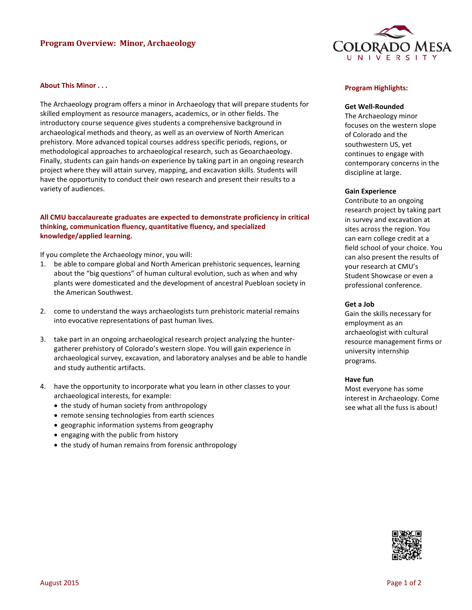# **Program Overview: Minor, Archaeology**



## **About This Minor . . .**

The Archaeology program offers a minor in Archaeology that will prepare students for skilled employment as resource managers, academics, or in other fields. The introductory course sequence gives students a comprehensive background in archaeological methods and theory, as well as an overview of North American prehistory. More advanced topical courses address specific periods, regions, or methodological approaches to archaeological research, such as Geoarchaeology. Finally, students can gain hands-on experience by taking part in an ongoing research project where they will attain survey, mapping, and excavation skills. Students will have the opportunity to conduct their own research and present their results to a variety of audiences.

# **All CMU baccalaureate graduates are expected to demonstrate proficiency in critical thinking, communication fluency, quantitative fluency, and specialized knowledge/applied learning.**

If you complete the Archaeology minor, you will:

- 1. be able to compare global and North American prehistoric sequences, learning about the "big questions" of human cultural evolution, such as when and why plants were domesticated and the development of ancestral Puebloan society in the American Southwest.
- 2. come to understand the ways archaeologists turn prehistoric material remains into evocative representations of past human lives.
- 3. take part in an ongoing archaeological research project analyzing the huntergatherer prehistory of Colorado's western slope. You will gain experience in archaeological survey, excavation, and laboratory analyses and be able to handle and study authentic artifacts.
- 4. have the opportunity to incorporate what you learn in other classes to your archaeological interests, for example:
	- the study of human society from anthropology
	- remote sensing technologies from earth sciences
	- geographic information systems from geography
	- engaging with the public from history
	- the study of human remains from forensic anthropology

#### **Program Highlights:**

## **Get Well-Rounded**

The Archaeology minor focuses on the western slope of Colorado and the southwestern US, yet continues to engage with contemporary concerns in the discipline at large.

#### **Gain Experience**

Contribute to an ongoing research project by taking part in survey and excavation at sites across the region. You can earn college credit at a field school of your choice. You can also present the results of your research at CMU's Student Showcase or even a professional conference.

#### **Get a Job**

Gain the skills necessary for employment as an archaeologist with cultural resource management firms or university internship programs.

#### **Have fun**

Most everyone has some interest in Archaeology. Come see what all the fuss is about!